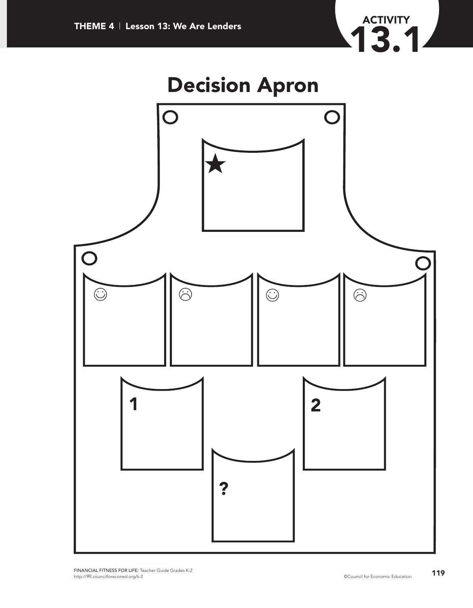